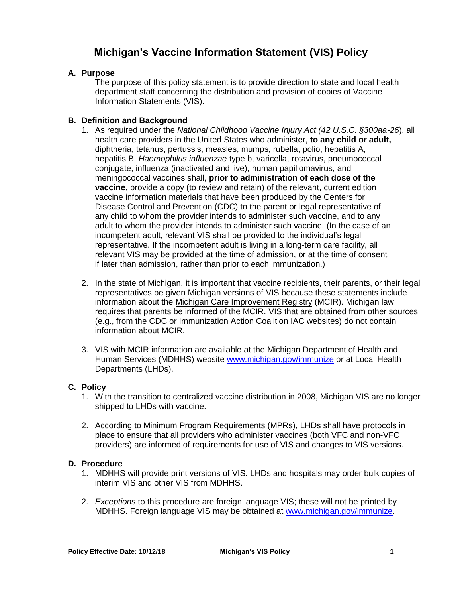# **Michigan's Vaccine Information Statement (VIS) Policy**

# **A. Purpose**

The purpose of this policy statement is to provide direction to state and local health department staff concerning the distribution and provision of copies of Vaccine Information Statements (VIS).

## **B. Definition and Background**

- 1. As required under the *National Childhood Vaccine Injury Act (42 U.S.C. §300aa-26*), all health care providers in the United States who administer, **to any child or adult,**  diphtheria, tetanus, pertussis, measles, mumps, rubella, polio, hepatitis A, hepatitis B, *Haemophilus influenzae* type b, varicella, rotavirus, pneumococcal conjugate, influenza (inactivated and live), human papillomavirus, and meningococcal vaccines shall, **prior to administration of each dose of the vaccine**, provide a copy (to review and retain) of the relevant, current edition vaccine information materials that have been produced by the Centers for Disease Control and Prevention (CDC) to the parent or legal representative of any child to whom the provider intends to administer such vaccine, and to any adult to whom the provider intends to administer such vaccine. (In the case of an incompetent adult, relevant VIS shall be provided to the individual's legal representative. If the incompetent adult is living in a long-term care facility, all relevant VIS may be provided at the time of admission, or at the time of consent if later than admission, rather than prior to each immunization.)
- 2. In the state of Michigan, it is important that vaccine recipients, their parents, or their legal representatives be given Michigan versions of VIS because these statements include information about the [Michigan Care Improvement Registry](http://www.mcir.org/) (MCIR). Michigan law requires that parents be informed of the MCIR. VIS that are obtained from other sources (e.g., from the CDC or Immunization Action Coalition IAC websites) do not contain information about MCIR.
- 3. VIS with MCIR information are available at the Michigan Department of Health and Human Services (MDHHS) website [www.michigan.gov/immunize](http://www.michigan.gov/immunize) or at Local Health Departments (LHDs).

### **C. Policy**

- 1. With the transition to centralized vaccine distribution in 2008, Michigan VIS are no longer shipped to LHDs with vaccine.
- 2. According to Minimum Program Requirements (MPRs), LHDs shall have protocols in place to ensure that all providers who administer vaccines (both VFC and non-VFC providers) are informed of requirements for use of VIS and changes to VIS versions.

### **D. Procedure**

- 1. MDHHS will provide print versions of VIS. LHDs and hospitals may order bulk copies of interim VIS and other VIS from MDHHS.
- 2. *Exceptions* to this procedure are foreign language VIS; these will not be printed by MDHHS. Foreign language VIS may be obtained at [www.michigan.gov/immunize.](http://www.michigan.gov/immunize)